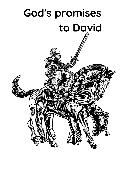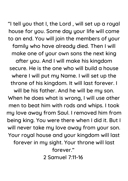"I tell you that I, the Lord , will set up a royal house for you. Some day your life will come to an end. You will join the members of your family who have already died. Then I will make one of your own sons the next king after you. And I will make his kingdom secure. He is the one who will build a house where I will put my Name. I will set up the throne of his kingdom. It will last forever. I

will be his father. And he will be my son. When he does what is wrong, I will use other men to beat him with rods and whips. I took my love away from Saul. I removed him from being king. You were there when I did it. But I will never take my love away from your son. Your royal house and your kingdom will last forever in my sight. Your throne will last forever." 2 Samuel 7:11-16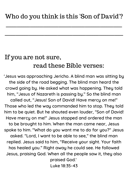$\frac{1}{2}$  ,  $\frac{1}{2}$  ,  $\frac{1}{2}$  ,  $\frac{1}{2}$  ,  $\frac{1}{2}$  ,  $\frac{1}{2}$  ,  $\frac{1}{2}$  ,  $\frac{1}{2}$  ,  $\frac{1}{2}$  ,  $\frac{1}{2}$  ,  $\frac{1}{2}$  ,  $\frac{1}{2}$  ,  $\frac{1}{2}$  ,  $\frac{1}{2}$  ,  $\frac{1}{2}$  ,  $\frac{1}{2}$  ,  $\frac{1}{2}$  ,  $\frac{1}{2}$  ,  $\frac{1$ 

 $\mathcal{L}_\text{max}$  and  $\mathcal{L}_\text{max}$  and  $\mathcal{L}_\text{max}$  and  $\mathcal{L}_\text{max}$  and  $\mathcal{L}_\text{max}$  and  $\mathcal{L}_\text{max}$ 

## If you are not sure, read these Bible verses:

'Jesus was approaching Jericho. A blind man was sitting by the side of the road begging. The blind man heard the crowd going by. He asked what was happening. They told him, "Jesus of Nazareth is passing by." So the blind man called out, "Jesus! Son of David! Have mercy on me!" Those who led the way commanded him to stop. They told him to be quiet. But he shouted even louder, "Son of David! Have mercy on me!" Jesus stopped and ordered the man to be brought to him. When the man came near, Jesus spoke to him. "What do you want me to do for you?" Jesus asked. "Lord, I want to be able to see," the blind man replied. Jesus said to him, "Receive your sight. Your faith has healed you." Right away he could see. He followed Jesus, praising God. When all the people saw it, they also praised God.' Luke 18:35-43